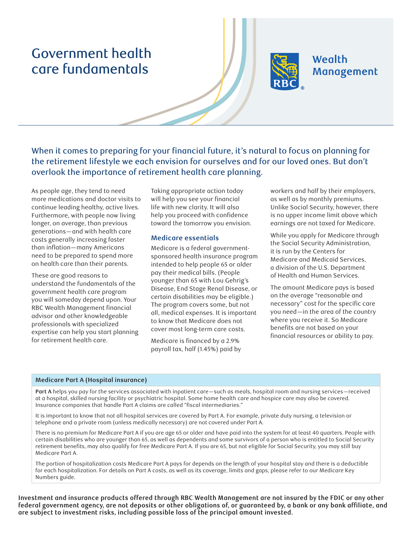# Government health care fundamentals



## Wealth Management

When it comes to preparing for your financial future, it's natural to focus on planning for the retirement lifestyle we each envision for ourselves and for our loved ones. But don't overlook the importance of retirement health care planning.

As people age, they tend to need more medications and doctor visits to continue leading healthy, active lives. Furthermore, with people now living longer, on average, than previous generations—and with health care costs generally increasing faster than inflation—many Americans need to be prepared to spend more on health care than their parents.

These are good reasons to understand the fundamentals of the government health care program you will someday depend upon. Your RBC Wealth Management financial advisor and other knowledgeable professionals with specialized expertise can help you start planning for retirement health care.

Taking appropriate action today will help you see your financial life with new clarity. It will also help you proceed with confidence toward the tomorrow you envision.

#### **Medicare essentials**

Medicare is a federal governmentsponsored health insurance program intended to help people 65 or older pay their medical bills. (People younger than 65 with Lou Gehrig's Disease, End Stage Renal Disease, or certain disabilities may be eligible.) The program covers some, but not all, medical expenses. It is important to know that Medicare does not cover most long-term care costs.

Medicare is financed by a 2.9% payroll tax, half (1.45%) paid by workers and half by their employers, as well as by monthly premiums. Unlike Social Security, however, there is no upper income limit above which earnings are not taxed for Medicare.

While you apply for Medicare through the Social Security Administration, it is run by the Centers for Medicare and Medicaid Services, a division of the U.S. Department of Health and Human Services.

The amount Medicare pays is based on the average "reasonable and necessary" cost for the specific care you need—in the area of the country where you receive it. So Medicare benefits are not based on your financial resources or ability to pay.

#### **Medicare Part A (Hospital insurance)**

**Part A** helps you pay for the services associated with inpatient care—such as meals, hospital room and nursing services—received at a hospital, skilled nursing facility or psychiatric hospital. Some home health care and hospice care may also be covered. Insurance companies that handle Part A claims are called "fiscal intermediaries."

It is important to know that not all hospital services are covered by Part A. For example, private duty nursing, a television or telephone and a private room (unless medically necessary) are not covered under Part A.

There is no premium for Medicare Part A if you are age 65 or older and have paid into the system for at least 40 quarters. People with certain disabilities who are younger than 65, as well as dependents and some survivors of a person who is entitled to Social Security retirement benefits, may also qualify for free Medicare Part A. If you are 65, but not eligible for Social Security, you may still buy Medicare Part A.

The portion of hospitalization costs Medicare Part A pays for depends on the length of your hospital stay and there is a deductible for each hospitalization. For details on Part A costs, as well as its coverage, limits and gaps, please refer to our Medicare Key Numbers guide.

**Investment and insurance products offered through RBC Wealth Management are not insured by the FDIC or any other**  federal government agency, are not deposits or other obligations of, or guaranteed by, a bank or any bank affiliate, and **are subject to investment risks, including possible loss of the principal amount invested.**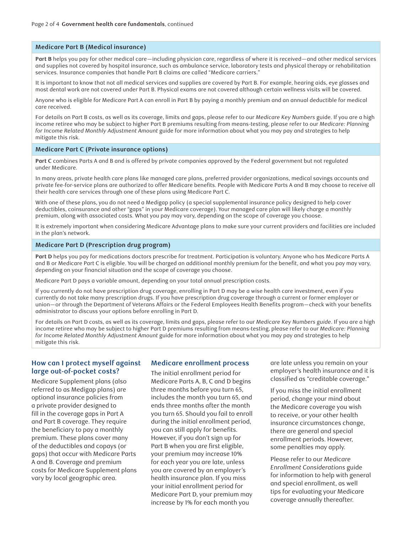#### **Medicare Part B (Medical insurance)**

**Part B** helps you pay for other medical care—including physician care, regardless of where it is received—and other medical services and supplies not covered by hospital insurance, such as ambulance service, laboratory tests and physical therapy or rehabilitation services. Insurance companies that handle Part B claims are called "Medicare carriers."

It is important to know that not all medical services and supplies are covered by Part B. For example, hearing aids, eye glasses and most dental work are not covered under Part B. Physical exams are not covered although certain wellness visits will be covered.

Anyone who is eligible for Medicare Part A can enroll in Part B by paying a monthly premium and an annual deductible for medical care received.

For details on Part B costs, as well as its coverage, limits and gaps, please refer to our *Medicare Key Numbers* guide. If you are a high income retiree who may be subject to higher Part B premiums resulting from means-testing, please refer to our *Medicare: Planning for Income Related Monthly Adjustment Amount* guide for more information about what you may pay and strategies to help mitigate this risk.

#### **Medicare Part C (Private insurance options)**

**Part C** combines Parts A and B and is offered by private companies approved by the Federal government but not regulated under Medicare.

In many areas, private health care plans like managed care plans, preferred provider organizations, medical savings accounts and private fee-for-service plans are authorized to offer Medicare benefits. People with Medicare Parts A and B may choose to receive all their health care services through one of these plans using Medicare Part C.

With one of these plans, you do not need a Medigap policy (a special supplemental insurance policy designed to help cover deductibles, coinsurance and other "gaps" in your Medicare coverage). Your managed care plan will likely charge a monthly premium, along with associated costs. What you pay may vary, depending on the scope of coverage you choose.

It is extremely important when considering Medicare Advantage plans to make sure your current providers and facilities are included in the plan's network.

#### **Medicare Part D (Prescription drug program)**

**Part D** helps you pay for medications doctors prescribe for treatment. Participation is voluntary. Anyone who has Medicare Parts A and B or Medicare Part C is eligible. You will be charged an additional monthly premium for the benefit, and what you pay may vary, depending on your financial situation and the scope of coverage you choose.

Medicare Part D pays a variable amount, depending on your total annual prescription costs.

If you currently do not have prescription drug coverage, enrolling in Part D may be a wise health care investment, even if you currently do not take many prescription drugs. If you have prescription drug coverage through a current or former employer or union—or through the Department of Veterans Affairs or the Federal Employees Health Benefits program—check with your benefits administrator to discuss your options before enrolling in Part D.

For details on Part D costs, as well as its coverage, limits and gaps, please refer to our *Medicare Key Numbers guide*. If you are a high income retiree who may be subject to higher Part D premiums resulting from means-testing, please refer to our *Medicare: Planning for Income Related Monthly Adjustment Amount* guide for more information about what you may pay and strategies to help mitigate this risk.

#### **How can I protect myself against large out-of-pocket costs?**

Medicare Supplement plans (also referred to as Medigap plans) are optional insurance policies from a private provider designed to fill in the coverage gaps in Part A and Part B coverage. They require the beneficiary to pay a monthly premium. These plans cover many of the deductibles and copays (or gaps) that occur with Medicare Parts A and B. Coverage and premium costs for Medicare Supplement plans vary by local geographic area.

#### **Medicare enrollment process**

The initial enrollment period for Medicare Parts A, B, C and D begins three months before you turn 65, includes the month you turn 65, and ends three months after the month you turn 65. Should you fail to enroll during the initial enrollment period, you can still apply for benefits. However, if you don't sign up for Part B when you are first eligible, your premium may increase 10% for each year you are late, unless you are covered by an employer's health insurance plan. If you miss your initial enrollment period for Medicare Part D, your premium may increase by 1% for each month you

are late unless you remain on your employer's health insurance and it is classified as "creditable coverage."

If you miss the initial enrollment period, change your mind about the Medicare coverage you wish to receive, or your other health insurance circumstances change, there are general and special enrollment periods. However, some penalties may apply.

Please refer to our *Medicare Enrollment Considerations* guide for information to help with general and special enrollment, as well tips for evaluating your Medicare coverage annually thereafter.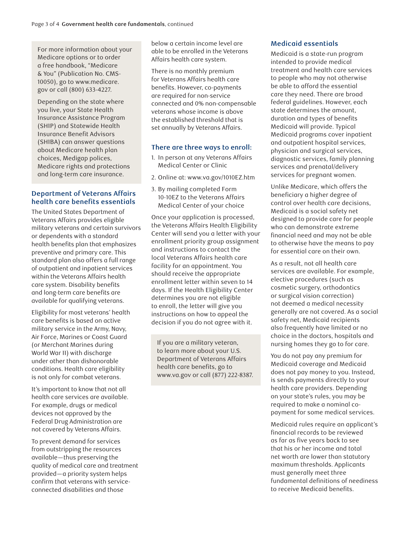For more information about your Medicare options or to order a free handbook, "Medicare & You" (Publication No. CMS-10050), go to www.medicare. gov or call (800) 633-4227.

Depending on the state where you live, your State Health Insurance Assistance Program (SHIP) and Statewide Health Insurance Benefit Advisors (SHIBA) can answer questions about Medicare health plan choices, Medigap polices, Medicare rights and protections and long-term care insurance.

## **Department of Veterans Affairs health care benefits essentials**

The United States Department of Veterans Affairs provides eligible military veterans and certain survivors or dependents with a standard health benefits plan that emphasizes preventive and primary care. This standard plan also offers a full range of outpatient and inpatient services within the Veterans Affairs health care system. Disability benefits and long-term care benefits are available for qualifying veterans.

Eligibility for most veterans' health care benefits is based on active military service in the Army, Navy, Air Force, Marines or Coast Guard (or Merchant Marines during World War II) with discharge under other than dishonorable conditions. Health care eligibility is not only for combat veterans.

It's important to know that not all health care services are available. For example, drugs or medical devices not approved by the Federal Drug Administration are not covered by Veterans Affairs.

To prevent demand for services from outstripping the resources available—thus preserving the quality of medical care and treatment provided—a priority system helps confirm that veterans with serviceconnected disabilities and those

below a certain income level are able to be enrolled in the Veterans Affairs health care system.

There is no monthly premium for Veterans Affairs health care benefits. However, co-payments are required for non-service connected and 0% non-compensable veterans whose income is above the established threshold that is set annually by Veterans Affairs.

### **There are three ways to enroll:**

- 1. In person at any Veterans Affairs Medical Center or Clinic
- 2. Online at: www.va.gov/1010EZ.htm
- 3. By mailing completed Form 10-10EZ to the Veterans Affairs Medical Center of your choice

Once your application is processed, the Veterans Affairs Health Eligibility Center will send you a letter with your enrollment priority group assignment and instructions to contact the local Veterans Affairs health care facility for an appointment. You should receive the appropriate enrollment letter within seven to 14 days. If the Health Eligibility Center determines you are not eligible to enroll, the letter will give you instructions on how to appeal the decision if you do not agree with it.

If you are a military veteran, to learn more about your U.S. Department of Veterans Affairs health care benefits, go to www.va.gov or call (877) 222-8387.

## **Medicaid essentials**

Medicaid is a state-run program intended to provide medical treatment and health care services to people who may not otherwise be able to afford the essential care they need. There are broad federal guidelines. However, each state determines the amount, duration and types of benefits Medicaid will provide. Typical Medicaid programs cover inpatient and outpatient hospital services, physician and surgical services, diagnostic services, family planning services and prenatal/delivery services for pregnant women.

Unlike Medicare, which offers the beneficiary a higher degree of control over health care decisions, Medicaid is a social safety net designed to provide care for people who can demonstrate extreme financial need and may not be able to otherwise have the means to pay for essential care on their own.

As a result, not all health care services are available. For example, elective procedures (such as cosmetic surgery, orthodontics or surgical vision correction) not deemed a medical necessity generally are not covered. As a social safety net, Medicaid recipients also frequently have limited or no choice in the doctors, hospitals and nursing homes they go to for care.

You do not pay any premium for Medicaid coverage and Medicaid does not pay money to you. Instead, is sends payments directly to your health care providers. Depending on your state's rules, you may be required to make a nominal copayment for some medical services.

Medicaid rules require an applicant's financial records to be reviewed as far as five years back to see that his or her income and total net worth are lower than statutory maximum thresholds. Applicants must generally meet three fundamental definitions of neediness to receive Medicaid benefits.